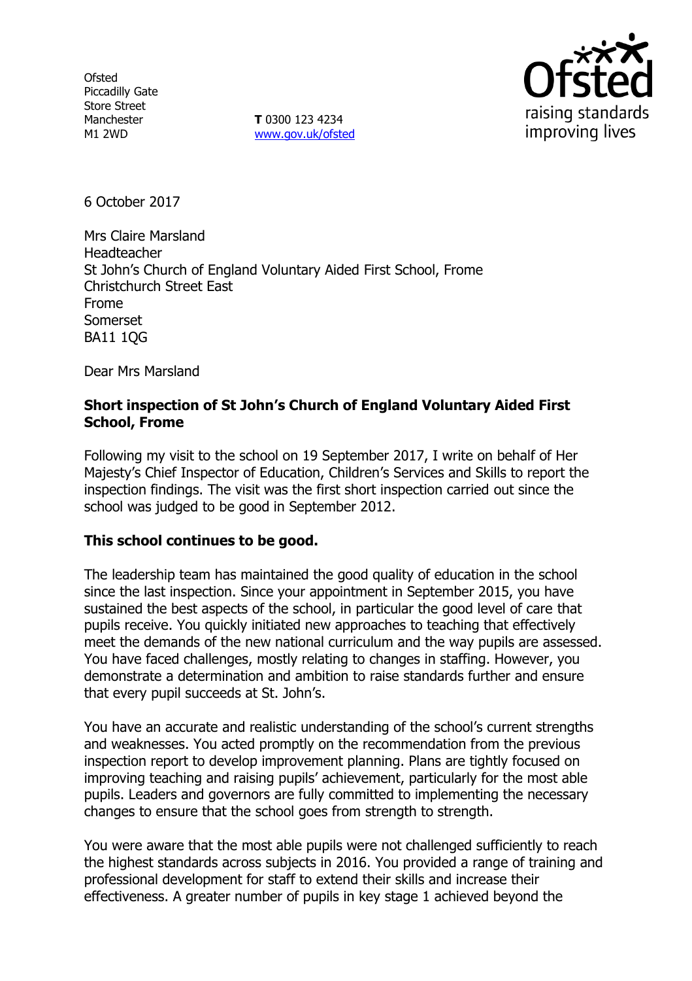**Ofsted** Piccadilly Gate Store Street Manchester M1 2WD

**T** 0300 123 4234 www.gov.uk/ofsted



6 October 2017

Mrs Claire Marsland Headteacher St John's Church of England Voluntary Aided First School, Frome Christchurch Street East Frome Somerset BA11 1QG

Dear Mrs Marsland

### **Short inspection of St John's Church of England Voluntary Aided First School, Frome**

Following my visit to the school on 19 September 2017, I write on behalf of Her Majesty's Chief Inspector of Education, Children's Services and Skills to report the inspection findings. The visit was the first short inspection carried out since the school was judged to be good in September 2012.

## **This school continues to be good.**

The leadership team has maintained the good quality of education in the school since the last inspection. Since your appointment in September 2015, you have sustained the best aspects of the school, in particular the good level of care that pupils receive. You quickly initiated new approaches to teaching that effectively meet the demands of the new national curriculum and the way pupils are assessed. You have faced challenges, mostly relating to changes in staffing. However, you demonstrate a determination and ambition to raise standards further and ensure that every pupil succeeds at St. John's.

You have an accurate and realistic understanding of the school's current strengths and weaknesses. You acted promptly on the recommendation from the previous inspection report to develop improvement planning. Plans are tightly focused on improving teaching and raising pupils' achievement, particularly for the most able pupils. Leaders and governors are fully committed to implementing the necessary changes to ensure that the school goes from strength to strength.

You were aware that the most able pupils were not challenged sufficiently to reach the highest standards across subjects in 2016. You provided a range of training and professional development for staff to extend their skills and increase their effectiveness. A greater number of pupils in key stage 1 achieved beyond the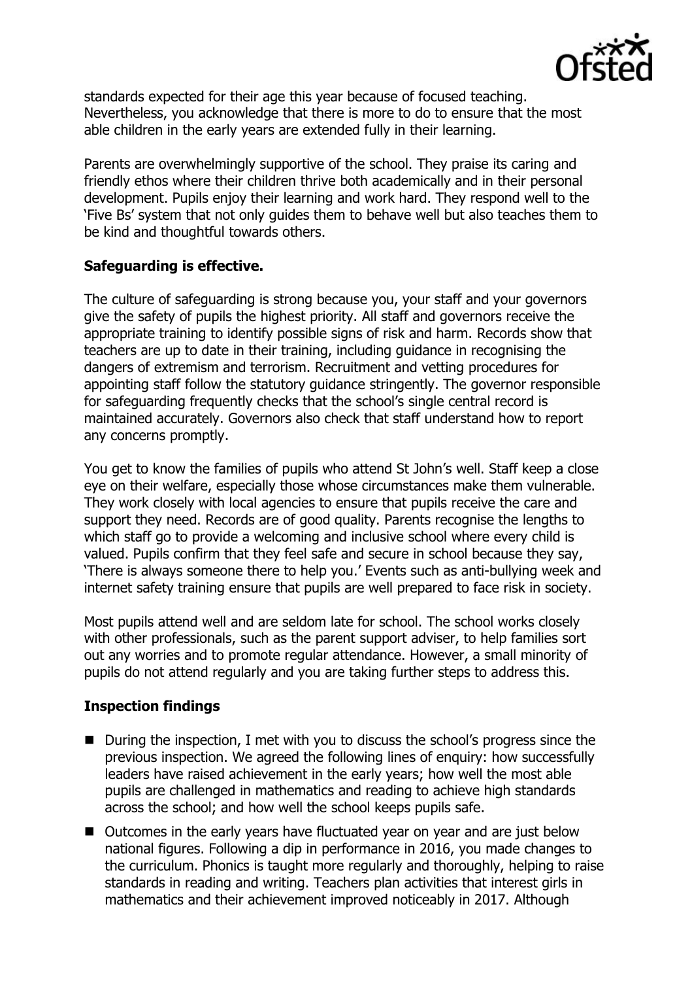

standards expected for their age this year because of focused teaching. Nevertheless, you acknowledge that there is more to do to ensure that the most able children in the early years are extended fully in their learning.

Parents are overwhelmingly supportive of the school. They praise its caring and friendly ethos where their children thrive both academically and in their personal development. Pupils enjoy their learning and work hard. They respond well to the 'Five Bs' system that not only guides them to behave well but also teaches them to be kind and thoughtful towards others.

# **Safeguarding is effective.**

The culture of safeguarding is strong because you, your staff and your governors give the safety of pupils the highest priority. All staff and governors receive the appropriate training to identify possible signs of risk and harm. Records show that teachers are up to date in their training, including guidance in recognising the dangers of extremism and terrorism. Recruitment and vetting procedures for appointing staff follow the statutory guidance stringently. The governor responsible for safeguarding frequently checks that the school's single central record is maintained accurately. Governors also check that staff understand how to report any concerns promptly.

You get to know the families of pupils who attend St John's well. Staff keep a close eye on their welfare, especially those whose circumstances make them vulnerable. They work closely with local agencies to ensure that pupils receive the care and support they need. Records are of good quality. Parents recognise the lengths to which staff go to provide a welcoming and inclusive school where every child is valued. Pupils confirm that they feel safe and secure in school because they say, 'There is always someone there to help you.' Events such as anti-bullying week and internet safety training ensure that pupils are well prepared to face risk in society.

Most pupils attend well and are seldom late for school. The school works closely with other professionals, such as the parent support adviser, to help families sort out any worries and to promote regular attendance. However, a small minority of pupils do not attend regularly and you are taking further steps to address this.

# **Inspection findings**

- During the inspection, I met with you to discuss the school's progress since the previous inspection. We agreed the following lines of enquiry: how successfully leaders have raised achievement in the early years; how well the most able pupils are challenged in mathematics and reading to achieve high standards across the school; and how well the school keeps pupils safe.
- Outcomes in the early years have fluctuated year on year and are just below national figures. Following a dip in performance in 2016, you made changes to the curriculum. Phonics is taught more regularly and thoroughly, helping to raise standards in reading and writing. Teachers plan activities that interest girls in mathematics and their achievement improved noticeably in 2017. Although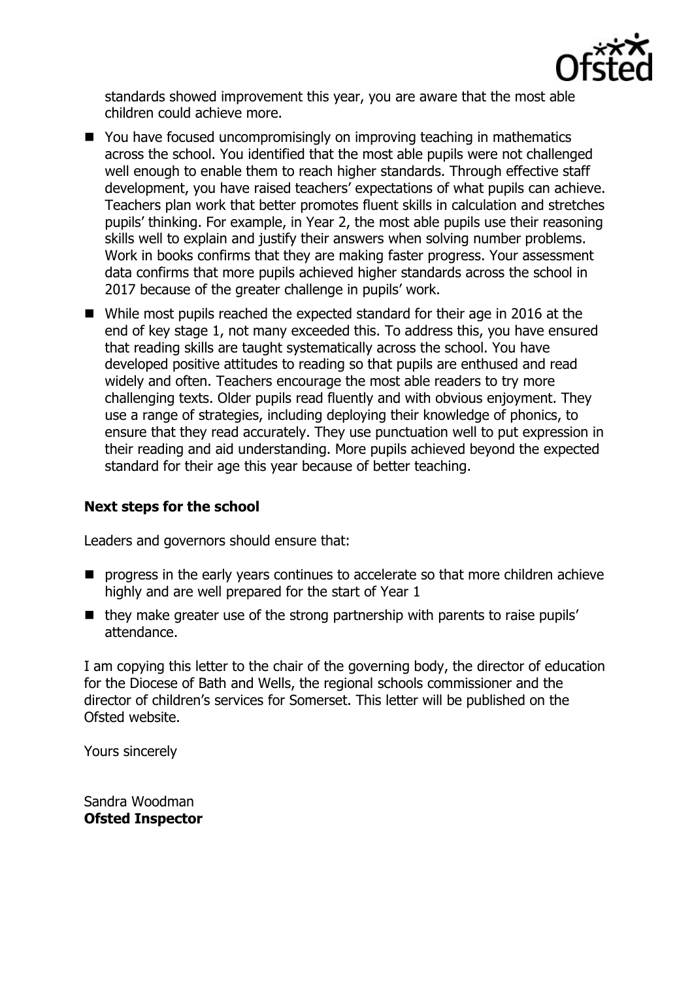

standards showed improvement this year, you are aware that the most able children could achieve more.

- You have focused uncompromisingly on improving teaching in mathematics across the school. You identified that the most able pupils were not challenged well enough to enable them to reach higher standards. Through effective staff development, you have raised teachers' expectations of what pupils can achieve. Teachers plan work that better promotes fluent skills in calculation and stretches pupils' thinking. For example, in Year 2, the most able pupils use their reasoning skills well to explain and justify their answers when solving number problems. Work in books confirms that they are making faster progress. Your assessment data confirms that more pupils achieved higher standards across the school in 2017 because of the greater challenge in pupils' work.
- While most pupils reached the expected standard for their age in 2016 at the end of key stage 1, not many exceeded this. To address this, you have ensured that reading skills are taught systematically across the school. You have developed positive attitudes to reading so that pupils are enthused and read widely and often. Teachers encourage the most able readers to try more challenging texts. Older pupils read fluently and with obvious enjoyment. They use a range of strategies, including deploying their knowledge of phonics, to ensure that they read accurately. They use punctuation well to put expression in their reading and aid understanding. More pupils achieved beyond the expected standard for their age this year because of better teaching.

## **Next steps for the school**

Leaders and governors should ensure that:

- **P** progress in the early years continues to accelerate so that more children achieve highly and are well prepared for the start of Year 1
- $\blacksquare$  they make greater use of the strong partnership with parents to raise pupils' attendance.

I am copying this letter to the chair of the governing body, the director of education for the Diocese of Bath and Wells, the regional schools commissioner and the director of children's services for Somerset. This letter will be published on the Ofsted website.

Yours sincerely

Sandra Woodman **Ofsted Inspector**